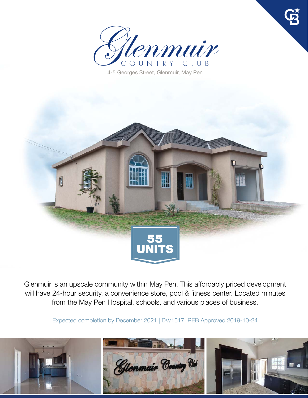

4-5 Georges Street, Glenmuir, May Pen



Glenmuir is an upscale community within May Pen. This affordably priced development will have 24-hour security, a convenience store, pool & fitness center. Located minutes from the May Pen Hospital, schools, and various places of business.

Expected completion by December 2021 | DV/1517, REB Approved 2019-10-24

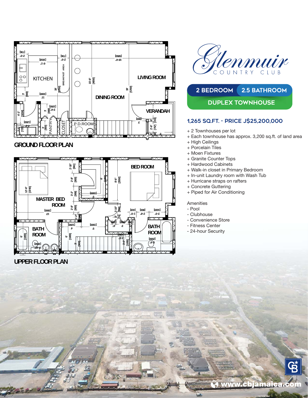

## **GROUND FLOOR PLAN**



## **UPPER FLOOR PLAN**



# 2 BEDROOM 2.5 BATHROOM **DUPLEX TOWNHOUSE**

## **1,265 SQ.FT. - Price J\$25,200,000**

- + 2 Townhouses per lot
- + Each townhouse has approx. 3,200 sq.ft. of land area
- + High Ceilings
- + Porcelain Tiles
- + Moen Fixtures
- + Granite Counter Tops
- + Hardwood Cabinets
- + Walk-in closet in Primary Bedroom
- + In-unit Laundry room with Wash Tub
- + Hurricane straps on rafters
- + Concrete Guttering
- + Piped for Air Conditioning

#### **Amenities**

- Pool
- Clubhouse
- Convenience Store
- Fitness Center
- 24-hour Security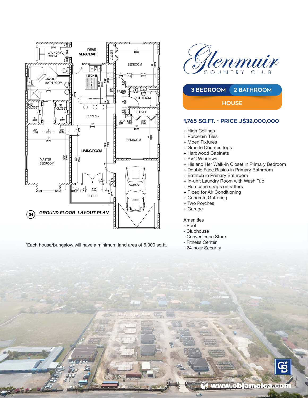

\*Each house/bungalow will have a minimum land area of 6,000 sq.ft.





### **1,765 SQ.FT. - Price J\$32,000,000**

- + High Ceilings
- + Porcelain Tiles
- + Moen Fixtures
- + Granite Counter Tops
- + Hardwood Cabinets
- + PVC Windows
- + His and Her Walk-in Closet in Primary Bedroom
- + Double Face Basins in Primary Bathroom
- + Bathtub in Primary Bathroom
- + In-unit Laundry Room with Wash Tub
- + Hurricane straps on rafters
- + Piped for Air Conditioning
- + Concrete Guttering
- + Two Porches
- + Garage

#### Amenities

- Pool
- Clubhouse
- Convenience Store
- Fitness Center
- 24-hour Security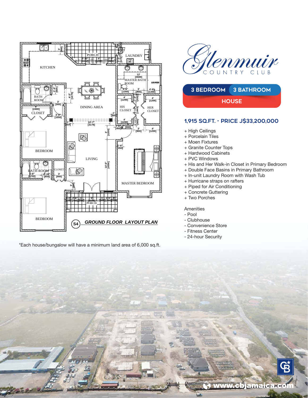

\*Each house/bungalow will have a minimum land area of 6,000 sq.ft.





## **1,915 SQ.FT. - Price J\$33,200,000**

- + High Ceilings
- + Porcelain Tiles
- + Moen Fixtures
- + Granite Counter Tops
- + Hardwood Cabinets
- + PVC Windows
- + His and Her Walk-in Closet in Primary Bedroom
- + Double Face Basins in Primary Bathroom
- + In-unit Laundry Room with Wash Tub
- + Hurricane straps on rafters
- + Piped for Air Conditioning
- + Concrete Guttering
- + Two Porches

**Amenities** 

- Pool
- Clubhouse
- Convenience Store
- Fitness Center
- 24-hour Security